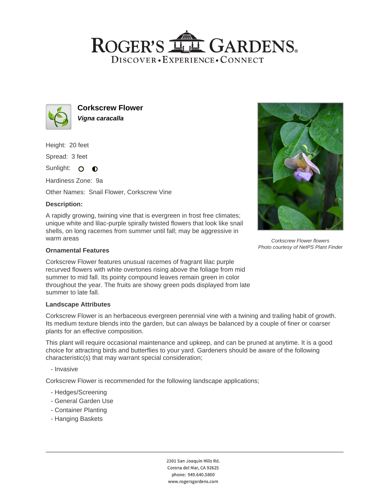## ROGER'S LLE GARDENS. DISCOVER · EXPERIENCE · CONNECT



**Corkscrew Flower Vigna caracalla**

Height: 20 feet

Spread: 3 feet

Sunlight: O **O** 

Hardiness Zone: 9a

Other Names: Snail Flower, Corkscrew Vine

## **Description:**

A rapidly growing, twining vine that is evergreen in frost free climates; unique white and lilac-purple spirally twisted flowers that look like snail shells, on long racemes from summer until fall; may be aggressive in warm areas

#### **Ornamental Features**

Corkscrew Flower features unusual racemes of fragrant lilac purple recurved flowers with white overtones rising above the foliage from mid summer to mid fall. Its pointy compound leaves remain green in color throughout the year. The fruits are showy green pods displayed from late summer to late fall.

#### **Landscape Attributes**

Corkscrew Flower is an herbaceous evergreen perennial vine with a twining and trailing habit of growth. Its medium texture blends into the garden, but can always be balanced by a couple of finer or coarser plants for an effective composition.

This plant will require occasional maintenance and upkeep, and can be pruned at anytime. It is a good choice for attracting birds and butterflies to your yard. Gardeners should be aware of the following characteristic(s) that may warrant special consideration;

- Invasive

Corkscrew Flower is recommended for the following landscape applications;

- Hedges/Screening
- General Garden Use
- Container Planting
- Hanging Baskets

2301 San Joaquin Hills Rd. Corona del Mar, CA 92625 phone: 949.640.5800 www.rogersgardens.com



Corkscrew Flower flowers Photo courtesy of NetPS Plant Finder